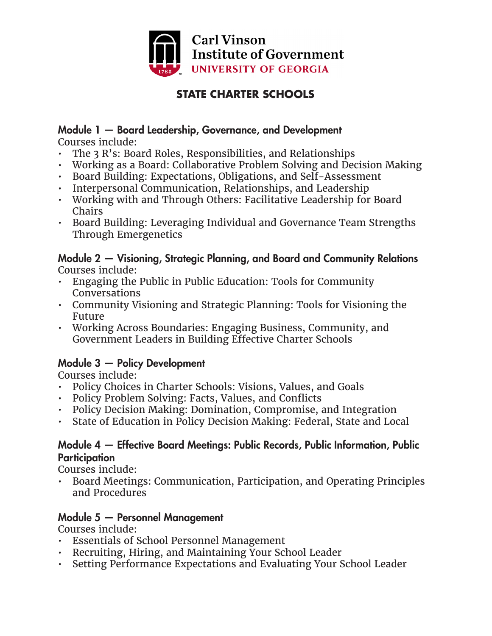

# **STATE CHARTER SCHOOLS**

# Module 1 — Board Leadership, Governance, and Development

Courses include:

- The 3 R's: Board Roles, Responsibilities, and Relationships
- Working as a Board: Collaborative Problem Solving and Decision Making
- Board Building: Expectations, Obligations, and Self-Assessment
- Interpersonal Communication, Relationships, and Leadership
- Working with and Through Others: Facilitative Leadership for Board Chairs
- Board Building: Leveraging Individual and Governance Team Strengths Through Emergenetics

#### Module 2 — Visioning, Strategic Planning, and Board and Community Relations Courses include:

- Engaging the Public in Public Education: Tools for Community Conversations
- Community Visioning and Strategic Planning: Tools for Visioning the Future
- Working Across Boundaries: Engaging Business, Community, and Government Leaders in Building Effective Charter Schools

## Module 3 — Policy Development

Courses include:

- Policy Choices in Charter Schools: Visions, Values, and Goals
- Policy Problem Solving: Facts, Values, and Conflicts
- Policy Decision Making: Domination, Compromise, and Integration
- State of Education in Policy Decision Making: Federal, State and Local

#### Module 4 — Effective Board Meetings: Public Records, Public Information, Public **Participation**

Courses include:

• Board Meetings: Communication, Participation, and Operating Principles and Procedures

## Module 5 — Personnel Management

Courses include:

- Essentials of School Personnel Management
- Recruiting, Hiring, and Maintaining Your School Leader
- Setting Performance Expectations and Evaluating Your School Leader